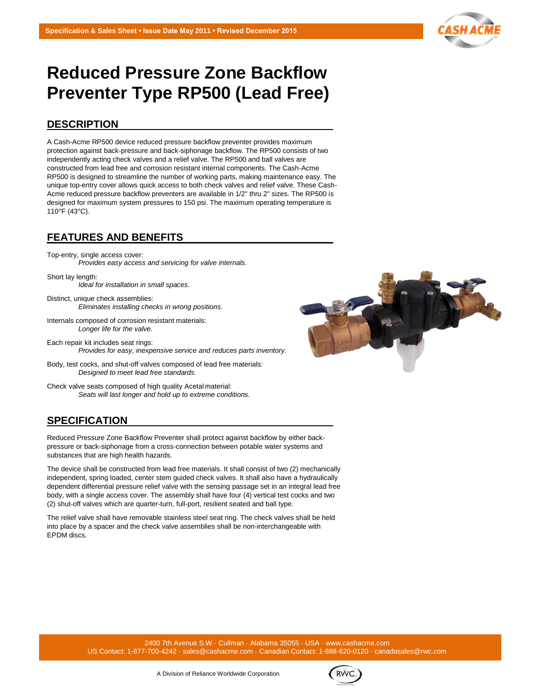

# **Reduced Pressure Zone Backflow Preventer Type RP500 (Lead Free)**

## **DESCRIPTION**

A Cash-Acme RP500 device reduced pressure backflow preventer provides maximum protection against back-pressure and back-siphonage backflow. The RP500 consists of two independently acting check valves and a relief valve. The RP500 and ball valves are constructed from lead free and corrosion resistant internal components. The Cash-Acme RP500 is designed to streamline the number of working parts, making maintenance easy. The unique top-entry cover allows quick access to both check valves and relief valve. These Cash-Acme reduced pressure backflow preventers are available in 1/2" thru 2" sizes. The RP500 is designed for maximum system pressures to 150 psi. The maximum operating temperature is 110°F (43°C).

## **FEATURES AND BENEFITS**

Top-entry, single access cover: *Provides easy access and servicing for valve internals.*

Short lay length: *Ideal for installation in small spaces.*

- Distinct, unique check assemblies: *Eliminates installing checks in wrong positions.*
- Internals composed of corrosion resistant materials: *Longer life for the valve.*
- Each repair kit includes seat rings: *Provides for easy, inexpensive service and reduces parts inventory.*
- Body, test cocks, and shut-off valves composed of lead free materials: *Designed to meet lead free standards.*

Check valve seats composed of high quality Acetal material: *Seats will last longer and hold up to extreme conditions.*

# **SPECIFICATION**

Reduced Pressure Zone Backflow Preventer shall protect against backflow by either backpressure or back-siphonage from a cross-connection between potable water systems and substances that are high health hazards.

The device shall be constructed from lead free materials. It shall consist of two (2) mechanically independent, spring loaded, center stem guided check valves. It shall also have a hydraulically dependent differential pressure relief valve with the sensing passage set in an integral lead free body, with a single access cover. The assembly shall have four (4) vertical test cocks and two (2) shut-off valves which are quarter-turn, full-port, resilient seated and ball type.

The relief valve shall have removable stainless steel seat ring. The check valves shall be held into place by a spacer and the check valve assemblies shall be non-interchangeable with EPDM discs.

> 2400 7th Avenue S.W · Cullman · Alabama 35055 · USA [· www.cashacme.com](http://www.cashacme.com/) US Contact: 1-877-700-4242 · [sales@cashacme.com](mailto:sales@cashacme.com) · Canadian Contact: 1-888-820-0120 · canadasales@rwc.com



**RWC**